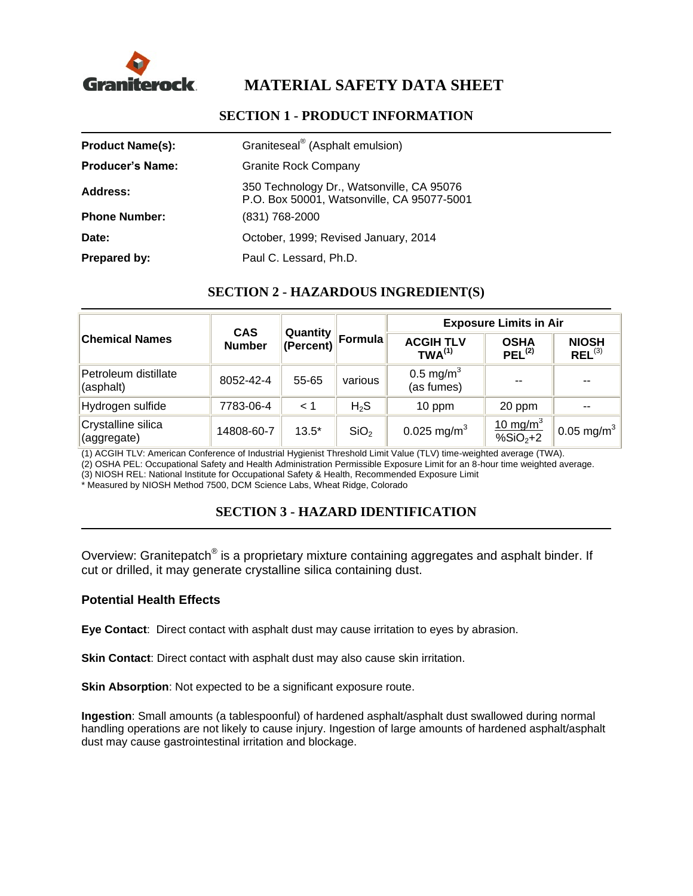

# **MATERIAL SAFETY DATA SHEET**

# **Product Name(s):** Graniteseal<sup>®</sup> (Asphalt emulsion) **Producer's Name:** Granite Rock Company **Address:** 350 Technology Dr., Watsonville, CA 95076 P.O. Box 50001, Watsonville, CA 95077-5001 **Phone Number:** (831) 768-2000 Date: Date: Colober, 1999; Revised January, 2014 **Prepared by:** Paul C. Lessard, Ph.D.

### **SECTION 1 - PRODUCT INFORMATION**

### **SECTION 2 - HAZARDOUS INGREDIENT(S)**

| <b>Chemical Names</b>             | <b>CAS</b><br><b>Number</b> | Quantity<br>(Percent) | Formula          | <b>Exposure Limits in Air</b>          |                                                       |                             |
|-----------------------------------|-----------------------------|-----------------------|------------------|----------------------------------------|-------------------------------------------------------|-----------------------------|
|                                   |                             |                       |                  | <b>ACGIH TLV</b><br>TWA <sup>(1)</sup> | <b>OSHA</b><br>$PEL^{(2)}$                            | <b>NIOSH</b><br>$REL^{(3)}$ |
| Petroleum distillate<br>(asphalt) | 8052-42-4                   | 55-65                 | various          | 0.5 mg/m <sup>3</sup><br>(as fumes)    | $- -$                                                 | $- -$                       |
| Hydrogen sulfide                  | 7783-06-4                   | < 1                   | H <sub>2</sub> S | 10 ppm                                 | 20 ppm                                                |                             |
| Crystalline silica<br>(aggregate) | 14808-60-7                  | $13.5*$               | SiO <sub>2</sub> | 0.025 mg/m <sup>3</sup>                | $10 \text{ mg/m}^3$<br>$\sqrt{8}$ SiO <sub>2</sub> +2 | 0.05 mg/m <sup>3</sup>      |

(1) ACGIH TLV: American Conference of Industrial Hygienist Threshold Limit Value (TLV) time-weighted average (TWA).

(2) OSHA PEL: Occupational Safety and Health Administration Permissible Exposure Limit for an 8-hour time weighted average.

(3) NIOSH REL: National Institute for Occupational Safety & Health, Recommended Exposure Limit

\* Measured by NIOSH Method 7500, DCM Science Labs, Wheat Ridge, Colorado

# **SECTION 3 - HAZARD IDENTIFICATION**

Overview: Granitepatch® is a proprietary mixture containing aggregates and asphalt binder. If cut or drilled, it may generate crystalline silica containing dust.

### **Potential Health Effects**

**Eye Contact**: Direct contact with asphalt dust may cause irritation to eyes by abrasion.

**Skin Contact:** Direct contact with asphalt dust may also cause skin irritation.

**Skin Absorption:** Not expected to be a significant exposure route.

**Ingestion**: Small amounts (a tablespoonful) of hardened asphalt/asphalt dust swallowed during normal handling operations are not likely to cause injury. Ingestion of large amounts of hardened asphalt/asphalt dust may cause gastrointestinal irritation and blockage.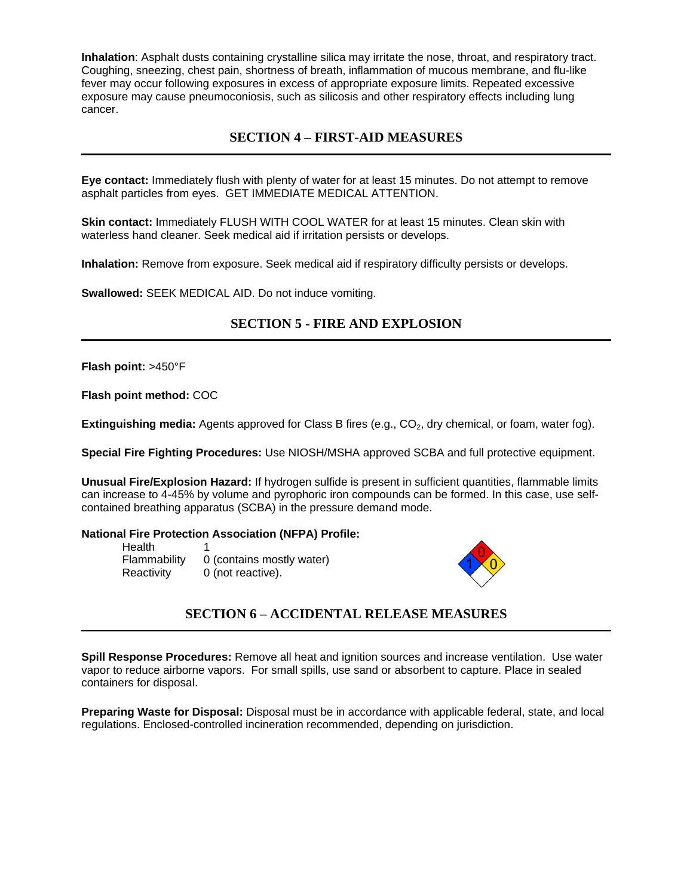**Inhalation**: Asphalt dusts containing crystalline silica may irritate the nose, throat, and respiratory tract. Coughing, sneezing, chest pain, shortness of breath, inflammation of mucous membrane, and flu-like fever may occur following exposures in excess of appropriate exposure limits. Repeated excessive exposure may cause pneumoconiosis, such as silicosis and other respiratory effects including lung cancer.

### **SECTION 4 – FIRST-AID MEASURES**

**Eye contact:** Immediately flush with plenty of water for at least 15 minutes. Do not attempt to remove asphalt particles from eyes. GET IMMEDIATE MEDICAL ATTENTION.

**Skin contact:** Immediately FLUSH WITH COOL WATER for at least 15 minutes. Clean skin with waterless hand cleaner. Seek medical aid if irritation persists or develops.

**Inhalation:** Remove from exposure. Seek medical aid if respiratory difficulty persists or develops.

**Swallowed:** SEEK MEDICAL AID. Do not induce vomiting.

### **SECTION 5 - FIRE AND EXPLOSION**

**Flash point:** >450°F

**Flash point method:** COC

**Extinguishing media:** Agents approved for Class B fires (e.g., CO<sub>2</sub>, dry chemical, or foam, water fog).

**Special Fire Fighting Procedures:** Use NIOSH/MSHA approved SCBA and full protective equipment.

**Unusual Fire/Explosion Hazard:** If hydrogen sulfide is present in sufficient quantities, flammable limits can increase to 4-45% by volume and pyrophoric iron compounds can be formed. In this case, use selfcontained breathing apparatus (SCBA) in the pressure demand mode.

#### **National Fire Protection Association (NFPA) Profile:**

**Health** Flammability 0 (contains mostly water) Reactivity 0 (not reactive).



### **SECTION 6 – ACCIDENTAL RELEASE MEASURES**

**Spill Response Procedures:** Remove all heat and ignition sources and increase ventilation. Use water vapor to reduce airborne vapors. For small spills, use sand or absorbent to capture. Place in sealed containers for disposal.

**Preparing Waste for Disposal:** Disposal must be in accordance with applicable federal, state, and local regulations. Enclosed-controlled incineration recommended, depending on jurisdiction.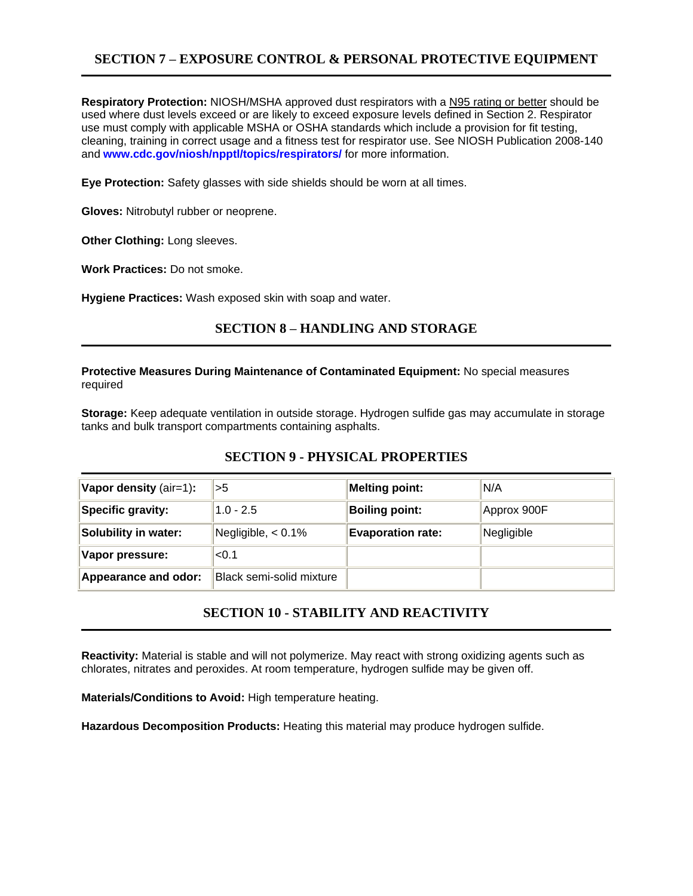# **SECTION 7 – EXPOSURE CONTROL & PERSONAL PROTECTIVE EQUIPMENT**

**Respiratory Protection:** NIOSH/MSHA approved dust respirators with a N95 rating or better should be used where dust levels exceed or are likely to exceed exposure levels defined in Section 2. Respirator use must comply with applicable MSHA or OSHA standards which include a provision for fit testing, cleaning, training in correct usage and a fitness test for respirator use. See NIOSH Publication 2008-140 and **[www.cdc.gov/niosh/npptl/topics/respirators/](http://www.cdc.gov/niosh/npptl/topics/respirators/)** for more information.

**Eye Protection:** Safety glasses with side shields should be worn at all times.

**Gloves:** Nitrobutyl rubber or neoprene.

**Other Clothing:** Long sleeves.

**Work Practices:** Do not smoke.

**Hygiene Practices:** Wash exposed skin with soap and water.

### **SECTION 8 – HANDLING AND STORAGE**

#### **Protective Measures During Maintenance of Contaminated Equipment:** No special measures required

**Storage:** Keep adequate ventilation in outside storage. Hydrogen sulfide gas may accumulate in storage tanks and bulk transport compartments containing asphalts.

### **SECTION 9 - PHYSICAL PROPERTIES**

| Vapor density (air=1):      | >5                       | <b>Melting point:</b>    | N/A         |
|-----------------------------|--------------------------|--------------------------|-------------|
| Specific gravity:           | $1.0 - 2.5$              | <b>Boiling point:</b>    | Approx 900F |
| <b>Solubility in water:</b> | Negligible, $< 0.1\%$    | <b>Evaporation rate:</b> | Negligible  |
| Vapor pressure:             | < 0.1                    |                          |             |
| Appearance and odor:        | Black semi-solid mixture |                          |             |

# **SECTION 10 - STABILITY AND REACTIVITY**

**Reactivity:** Material is stable and will not polymerize. May react with strong oxidizing agents such as chlorates, nitrates and peroxides. At room temperature, hydrogen sulfide may be given off.

**Materials/Conditions to Avoid:** High temperature heating.

**Hazardous Decomposition Products:** Heating this material may produce hydrogen sulfide.